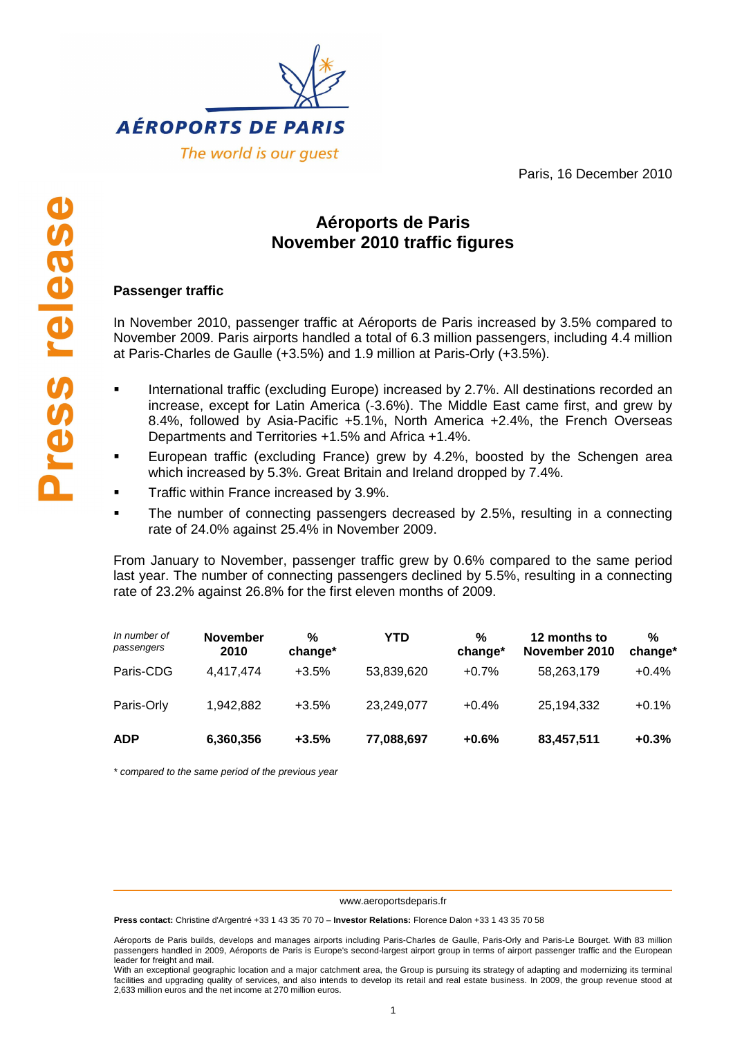

Paris, 16 December 2010

# **Aéroports de Paris November 2010 traffic figures**

## **Passenger traffic**

In November 2010, passenger traffic at Aéroports de Paris increased by 3.5% compared to November 2009. Paris airports handled a total of 6.3 million passengers, including 4.4 million at Paris-Charles de Gaulle (+3.5%) and 1.9 million at Paris-Orly (+3.5%).

- International traffic (excluding Europe) increased by 2.7%. All destinations recorded an increase, except for Latin America (-3.6%). The Middle East came first, and grew by 8.4%, followed by Asia-Pacific +5.1%, North America +2.4%, the French Overseas Departments and Territories +1.5% and Africa +1.4%.
- European traffic (excluding France) grew by 4.2%, boosted by the Schengen area which increased by 5.3%. Great Britain and Ireland dropped by 7.4%.
- Traffic within France increased by 3.9%.
- The number of connecting passengers decreased by 2.5%, resulting in a connecting rate of 24.0% against 25.4% in November 2009.

From January to November, passenger traffic grew by 0.6% compared to the same period last year. The number of connecting passengers declined by 5.5%, resulting in a connecting rate of 23.2% against 26.8% for the first eleven months of 2009.

| In number of<br>passengers | <b>November</b><br>2010 | %<br>change* | YTD        | %<br>change* | 12 months to<br>November 2010 | %<br>change* |
|----------------------------|-------------------------|--------------|------------|--------------|-------------------------------|--------------|
| Paris-CDG                  | 4.417.474               | $+3.5%$      | 53,839,620 | $+0.7%$      | 58,263,179                    | $+0.4%$      |
| Paris-Orly                 | 1.942.882               | $+3.5%$      | 23,249,077 | $+0.4%$      | 25,194,332                    | $+0.1%$      |
| <b>ADP</b>                 | 6,360,356               | $+3.5%$      | 77,088,697 | $+0.6%$      | 83,457,511                    | $+0.3%$      |

\* compared to the same period of the previous year

www.aeroportsdeparis.fr

**Press contact:** Christine d'Argentré +33 1 43 35 70 70 – **Investor Relations:** Florence Dalon +33 1 43 35 70 58

Aéroports de Paris builds, develops and manages airports including Paris-Charles de Gaulle, Paris-Orly and Paris-Le Bourget. With 83 million passengers handled in 2009, Aéroports de Paris is Europe's second-largest airport group in terms of airport passenger traffic and the European leader for freight and mail.

With an exceptional geographic location and a major catchment area, the Group is pursuing its strategy of adapting and modernizing its terminal facilities and upgrading quality of services, and also intends to develop its retail and real estate business. In 2009, the group revenue stood at 2,633 million euros and the net income at 270 million euros.